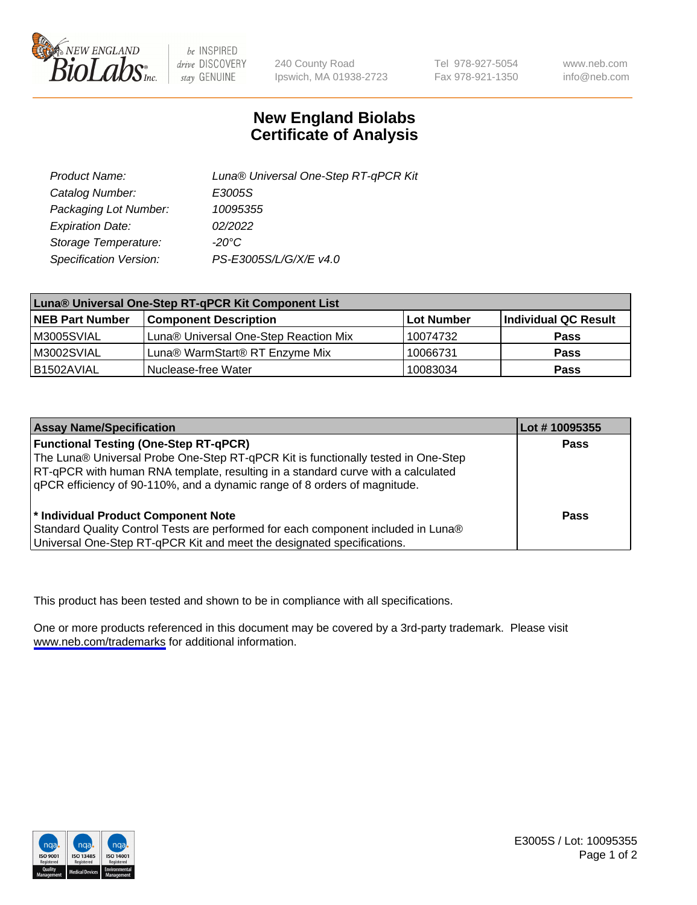

be INSPIRED drive DISCOVERY stay GENUINE

240 County Road Ipswich, MA 01938-2723 Tel 978-927-5054 Fax 978-921-1350

www.neb.com info@neb.com

## **New England Biolabs Certificate of Analysis**

| Product Name:           | Luna® Universal One-Step RT-qPCR Kit |
|-------------------------|--------------------------------------|
| Catalog Number:         | E3005S                               |
| Packaging Lot Number:   | 10095355                             |
| <b>Expiration Date:</b> | 02/2022                              |
| Storage Temperature:    | $-20^{\circ}$ C                      |
| Specification Version:  | PS-E3005S/L/G/X/E v4.0               |

| Luna® Universal One-Step RT-qPCR Kit Component List |                                       |            |                      |  |
|-----------------------------------------------------|---------------------------------------|------------|----------------------|--|
| <b>NEB Part Number</b>                              | <b>Component Description</b>          | Lot Number | Individual QC Result |  |
| M3005SVIAL                                          | Luna® Universal One-Step Reaction Mix | 10074732   | Pass                 |  |
| M3002SVIAL                                          | Luna® WarmStart® RT Enzyme Mix        | 10066731   | <b>Pass</b>          |  |
| B1502AVIAL                                          | Nuclease-free Water                   | 10083034   | <b>Pass</b>          |  |

| <b>Assay Name/Specification</b>                                                   | Lot #10095355 |
|-----------------------------------------------------------------------------------|---------------|
| <b>Functional Testing (One-Step RT-qPCR)</b>                                      | <b>Pass</b>   |
| The Luna® Universal Probe One-Step RT-qPCR Kit is functionally tested in One-Step |               |
| RT-qPCR with human RNA template, resulting in a standard curve with a calculated  |               |
| gPCR efficiency of 90-110%, and a dynamic range of 8 orders of magnitude.         |               |
|                                                                                   |               |
| <sup>*</sup> Individual Product Component Note                                    | Pass          |
| Standard Quality Control Tests are performed for each component included in Luna® |               |
| Universal One-Step RT-qPCR Kit and meet the designated specifications.            |               |

This product has been tested and shown to be in compliance with all specifications.

One or more products referenced in this document may be covered by a 3rd-party trademark. Please visit <www.neb.com/trademarks>for additional information.